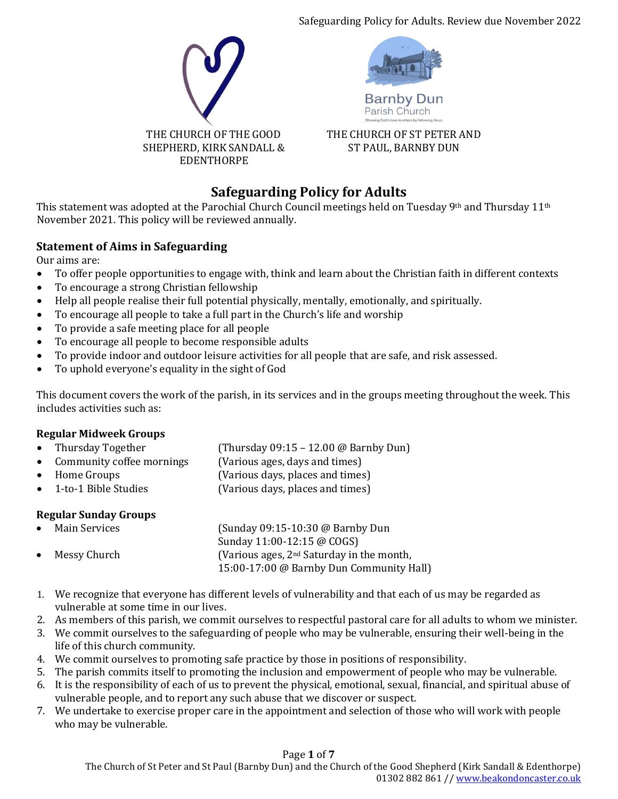Safeguarding Policy for Adults. Review due November 2022



# **Safeguarding Policy for Adults**

This statement was adopted at the Parochial Church Council meetings held on Tuesday 9<sup>th</sup> and Thursday 11<sup>th</sup> November 2021. This policy will be reviewed annually.

## **Statement of Aims in Safeguarding**

Our aims are:

- To offer people opportunities to engage with, think and learn about the Christian faith in different contexts
- To encourage a strong Christian fellowship
- Help all people realise their full potential physically, mentally, emotionally, and spiritually.
- To encourage all people to take a full part in the Church's life and worship
- To provide a safe meeting place for all people
- To encourage all people to become responsible adults
- To provide indoor and outdoor leisure activities for all people that are safe, and risk assessed.
- To uphold everyone's equality in the sight of God

This document covers the work of the parish, in its services and in the groups meeting throughout the week. This includes activities such as:

## **Regular Midweek Groups**

- Thursday Together (Thursday 09:15 12.00 @ Barnby Dun)
- Community coffee mornings (Various ages, days and times)
- Home Groups (Various days, places and times)
- 1-to-1 Bible Studies (Various days, places and times)

## **Regular Sunday Groups**

| $\bullet$ | Main Services | (Sunday 09:15-10:30 @ Barnby Dun            |
|-----------|---------------|---------------------------------------------|
|           |               | Sunday 11:00-12:15 @ COGS)                  |
| $\bullet$ | Messy Church  | (Various ages, $2nd$ Saturday in the month, |
|           |               | 15:00-17:00 @ Barnby Dun Community Hall)    |

- 1. We recognize that everyone has different levels of vulnerability and that each of us may be regarded as vulnerable at some time in our lives.
- 2. As members of this parish, we commit ourselves to respectful pastoral care for all adults to whom we minister.
- 3. We commit ourselves to the safeguarding of people who may be vulnerable, ensuring their well-being in the life of this church community.
- 4. We commit ourselves to promoting safe practice by those in positions of responsibility.
- 5. The parish commits itself to promoting the inclusion and empowerment of people who may be vulnerable.
- 6. It is the responsibility of each of us to prevent the physical, emotional, sexual, financial, and spiritual abuse of vulnerable people, and to report any such abuse that we discover or suspect.
- 7. We undertake to exercise proper care in the appointment and selection of those who will work with people who may be vulnerable.

## Page **1** of **7**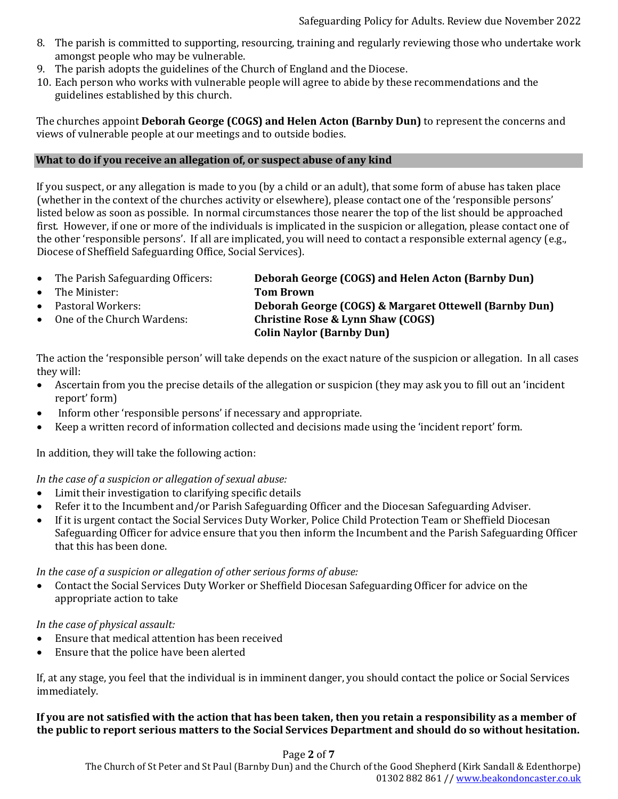- 8. The parish is committed to supporting, resourcing, training and regularly reviewing those who undertake work amongst people who may be vulnerable.
- 9. The parish adopts the guidelines of the Church of England and the Diocese.
- 10. Each person who works with vulnerable people will agree to abide by these recommendations and the guidelines established by this church.

The churches appoint **Deborah George (COGS) and Helen Acton (Barnby Dun)** to represent the concerns and views of vulnerable people at our meetings and to outside bodies.

## **What to do if you receive an allegation of, or suspect abuse of any kind**

If you suspect, or any allegation is made to you (by a child or an adult), that some form of abuse has taken place (whether in the context of the churches activity or elsewhere), please contact one of the 'responsible persons' listed below as soon as possible. In normal circumstances those nearer the top of the list should be approached first. However, if one or more of the individuals is implicated in the suspicion or allegation, please contact one of the other 'responsible persons'. If all are implicated, you will need to contact a responsible external agency (e.g., Diocese of Sheffield Safeguarding Office, Social Services).

| $\bullet$ | The Parish Safeguarding Officers: | Deborah George (COGS) and Helen Acton (Barnby Dun)     |
|-----------|-----------------------------------|--------------------------------------------------------|
| $\bullet$ | The Minister:                     | <b>Tom Brown</b>                                       |
| $\bullet$ | Pastoral Workers:                 | Deborah George (COGS) & Margaret Ottewell (Barnby Dun) |
| $\bullet$ | One of the Church Wardens:        | <b>Christine Rose &amp; Lynn Shaw (COGS)</b>           |
|           |                                   | <b>Colin Naylor (Barnby Dun)</b>                       |

The action the 'responsible person' will take depends on the exact nature of the suspicion or allegation. In all cases they will:

- Ascertain from you the precise details of the allegation or suspicion (they may ask you to fill out an 'incident report' form)
- Inform other 'responsible persons' if necessary and appropriate.
- Keep a written record of information collected and decisions made using the 'incident report' form.

In addition, they will take the following action:

*In the case of a suspicion or allegation of sexual abuse:*

- Limit their investigation to clarifying specific details
- Refer it to the Incumbent and/or Parish Safeguarding Officer and the Diocesan Safeguarding Adviser.
- If it is urgent contact the Social Services Duty Worker, Police Child Protection Team or Sheffield Diocesan Safeguarding Officer for advice ensure that you then inform the Incumbent and the Parish Safeguarding Officer that this has been done.

*In the case of a suspicion or allegation of other serious forms of abuse:*

• Contact the Social Services Duty Worker or Sheffield Diocesan Safeguarding Officer for advice on the appropriate action to take

## *In the case of physical assault:*

- Ensure that medical attention has been received
- Ensure that the police have been alerted

If, at any stage, you feel that the individual is in imminent danger, you should contact the police or Social Services immediately.

## **If you are not satisfied with the action that has been taken, then you retain a responsibility as a member of the public to report serious matters to the Social Services Department and should do so without hesitation.**

Page **2** of **7**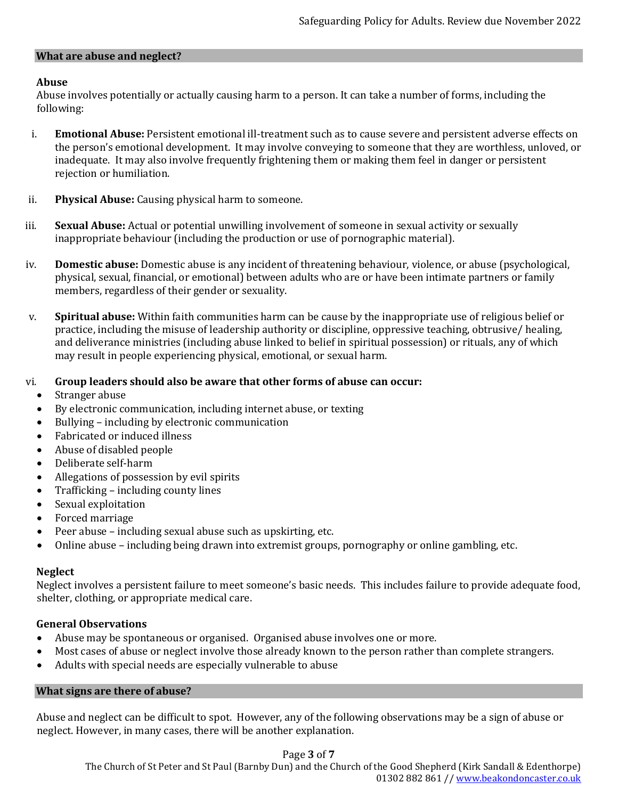#### **What are abuse and neglect?**

## **Abuse**

Abuse involves potentially or actually causing harm to a person. It can take a number of forms, including the following:

- i. **Emotional Abuse:** Persistent emotional ill-treatment such as to cause severe and persistent adverse effects on the person's emotional development. It may involve conveying to someone that they are worthless, unloved, or inadequate. It may also involve frequently frightening them or making them feel in danger or persistent rejection or humiliation.
- ii. **Physical Abuse:** Causing physical harm to someone.
- iii. **Sexual Abuse:** Actual or potential unwilling involvement of someone in sexual activity or sexually inappropriate behaviour (including the production or use of pornographic material).
- iv. **Domestic abuse:** Domestic abuse is any incident of threatening behaviour, violence, or abuse (psychological, physical, sexual, financial, or emotional) between adults who are or have been intimate partners or family members, regardless of their gender or sexuality.
- v. **Spiritual abuse:** Within faith communities harm can be cause by the inappropriate use of religious belief or practice, including the misuse of leadership authority or discipline, oppressive teaching, obtrusive/ healing, and deliverance ministries (including abuse linked to belief in spiritual possession) or rituals, any of which may result in people experiencing physical, emotional, or sexual harm.

## vi. **Group leaders should also be aware that other forms of abuse can occur:**

- Stranger abuse
- By electronic communication, including internet abuse, or texting
- Bullying including by electronic communication
- Fabricated or induced illness
- Abuse of disabled people
- Deliberate self-harm
- Allegations of possession by evil spirits
- Trafficking including county lines
- Sexual exploitation
- Forced marriage
- Peer abuse including sexual abuse such as upskirting, etc.
- Online abuse including being drawn into extremist groups, pornography or online gambling, etc.

## **Neglect**

Neglect involves a persistent failure to meet someone's basic needs. This includes failure to provide adequate food, shelter, clothing, or appropriate medical care.

## **General Observations**

- Abuse may be spontaneous or organised. Organised abuse involves one or more.
- Most cases of abuse or neglect involve those already known to the person rather than complete strangers.
- Adults with special needs are especially vulnerable to abuse

## **What signs are there of abuse?**

Abuse and neglect can be difficult to spot. However, any of the following observations may be a sign of abuse or neglect. However, in many cases, there will be another explanation.

## Page **3** of **7**

The Church of St Peter and St Paul (Barnby Dun) and the Church of the Good Shepherd (Kirk Sandall & Edenthorpe) 01302 882 861 /[/ www.beakondoncaster.co.uk](http://www.beakondoncaster.co.uk/)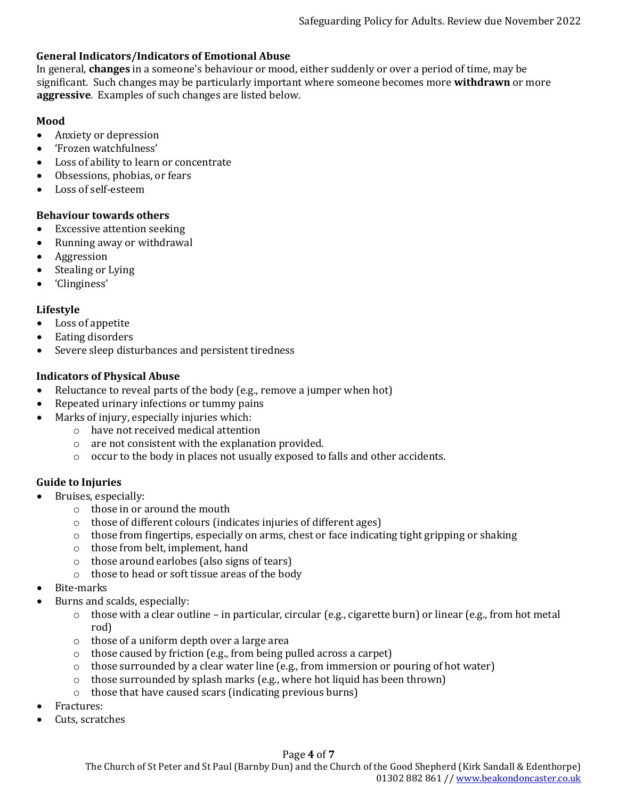## **General Indicators/Indicators of Emotional Abuse**

In general, **changes** in a someone's behaviour or mood, either suddenly or over a period of time, may be significant. Such changes may be particularly important where someone becomes more **withdrawn** or more **aggressive**. Examples of such changes are listed below.

#### **Mood**

- Anxiety or depression
- 'Frozen watchfulness'
- Loss of ability to learn or concentrate
- Obsessions, phobias, or fears
- Loss of self-esteem

#### **Behaviour towards others**

- Excessive attention seeking
- Running away or withdrawal
- Aggression
- Stealing or Lying
- 'Clinginess'

#### **Lifestyle**

- Loss of appetite
- Eating disorders
- Severe sleep disturbances and persistent tiredness

#### **Indicators of Physical Abuse**

- Reluctance to reveal parts of the body (e.g., remove a jumper when hot)
- Repeated urinary infections or tummy pains
- Marks of injury, especially injuries which:
	- o have not received medical attention
	- o are not consistent with the explanation provided.
	- o occur to the body in places not usually exposed to falls and other accidents.

#### **Guide to Injuries**

- Bruises, especially:
	- o those in or around the mouth
	- o those of different colours (indicates injuries of different ages)
	- $\circ$  those from fingertips, especially on arms, chest or face indicating tight gripping or shaking
	- o those from belt, implement, hand
	- o those around earlobes (also signs of tears)
	- o those to head or soft tissue areas of the body
- Bite-marks
- Burns and scalds, especially:
	- $\circ$  those with a clear outline in particular, circular (e.g., cigarette burn) or linear (e.g., from hot metal rod)
	- o those of a uniform depth over a large area
	- o those caused by friction (e.g., from being pulled across a carpet)
	- $\circ$  those surrounded by a clear water line (e.g., from immersion or pouring of hot water)
	- o those surrounded by splash marks (e.g., where hot liquid has been thrown)
	- o those that have caused scars (indicating previous burns)
- Fractures:
- Cuts, scratches

## Page **4** of **7**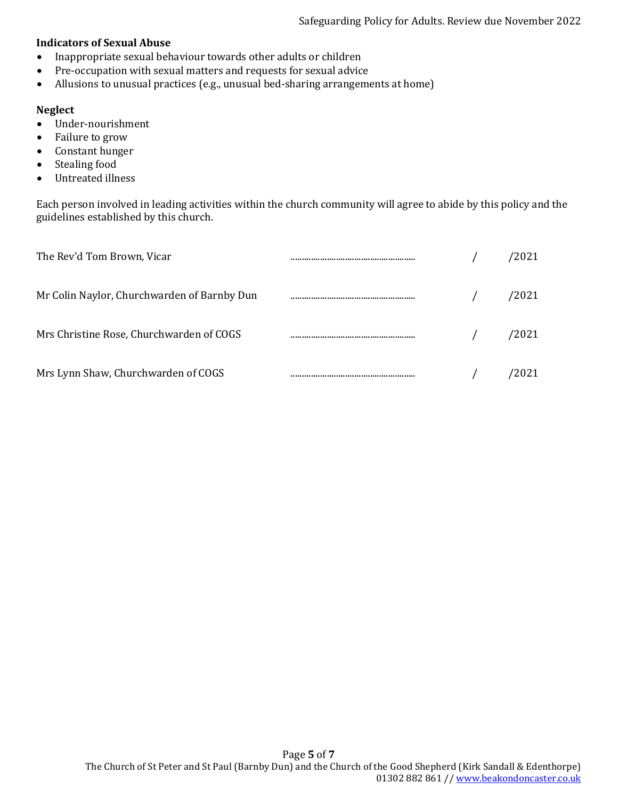#### **Indicators of Sexual Abuse**

- Inappropriate sexual behaviour towards other adults or children
- Pre-occupation with sexual matters and requests for sexual advice
- Allusions to unusual practices (e.g., unusual bed-sharing arrangements at home)

#### **Neglect**

- Under-nourishment
- Failure to grow
- Constant hunger
- Stealing food
- Untreated illness

Each person involved in leading activities within the church community will agree to abide by this policy and the guidelines established by this church.

| The Rev'd Tom Brown, Vicar                  |  | 2021  |
|---------------------------------------------|--|-------|
| Mr Colin Naylor, Churchwarden of Barnby Dun |  | 2021  |
| Mrs Christine Rose, Churchwarden of COGS    |  | 2021' |
| Mrs Lynn Shaw, Churchwarden of COGS         |  | 2021  |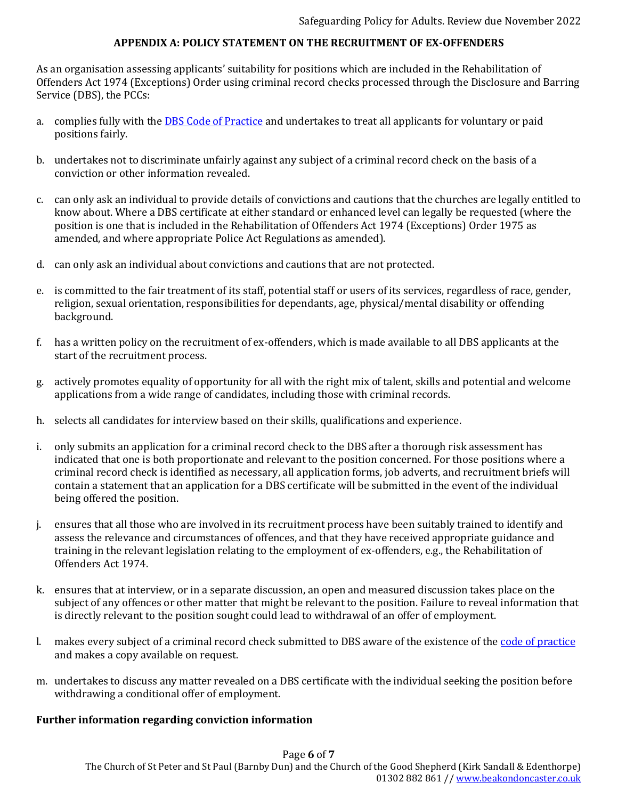## **APPENDIX A: POLICY STATEMENT ON THE RECRUITMENT OF EX-OFFENDERS**

As an organisation assessing applicants' suitability for positions which are included in the Rehabilitation of Offenders Act 1974 (Exceptions) Order using criminal record checks processed through the Disclosure and Barring Service (DBS), the PCCs:

- a. complies fully with the **DBS Code of Practice** and undertakes to treat all applicants for voluntary or paid positions fairly.
- b. undertakes not to discriminate unfairly against any subject of a criminal record check on the basis of a conviction or other information revealed.
- c. can only ask an individual to provide details of convictions and cautions that the churches are legally entitled to know about. Where a DBS certificate at either standard or enhanced level can legally be requested (where the position is one that is included in the Rehabilitation of Offenders Act 1974 (Exceptions) Order 1975 as amended, and where appropriate Police Act Regulations as amended).
- d. can only ask an individual about convictions and cautions that are not protected.
- e. is committed to the fair treatment of its staff, potential staff or users of its services, regardless of race, gender, religion, sexual orientation, responsibilities for dependants, age, physical/mental disability or offending background.
- f. has a written policy on the recruitment of ex-offenders, which is made available to all DBS applicants at the start of the recruitment process.
- g. actively promotes equality of opportunity for all with the right mix of talent, skills and potential and welcome applications from a wide range of candidates, including those with criminal records.
- h. selects all candidates for interview based on their skills, qualifications and experience.
- i. only submits an application for a criminal record check to the DBS after a thorough risk assessment has indicated that one is both proportionate and relevant to the position concerned. For those positions where a criminal record check is identified as necessary, all application forms, job adverts, and recruitment briefs will contain a statement that an application for a DBS certificate will be submitted in the event of the individual being offered the position.
- j. ensures that all those who are involved in its recruitment process have been suitably trained to identify and assess the relevance and circumstances of offences, and that they have received appropriate guidance and training in the relevant legislation relating to the employment of ex-offenders, e.g., the Rehabilitation of Offenders Act 1974.
- k. ensures that at interview, or in a separate discussion, an open and measured discussion takes place on the subject of any offences or other matter that might be relevant to the position. Failure to reveal information that is directly relevant to the position sought could lead to withdrawal of an offer of employment.
- l. makes every subject of a criminal record check submitted to DBS aware of the existence of the [code of practice](https://www.gov.uk/government/publications/dbs-code-of-practice) and makes a copy available on request.
- m. undertakes to discuss any matter revealed on a DBS certificate with the individual seeking the position before withdrawing a conditional offer of employment.

#### **Further information regarding conviction information**